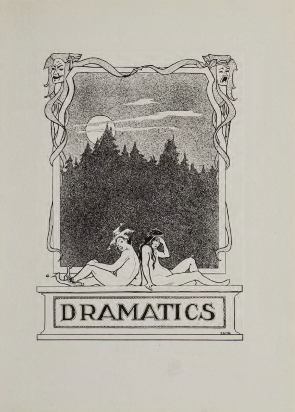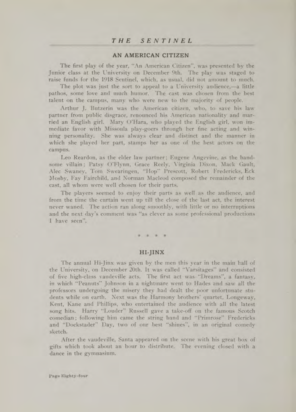## AN AMERICAN CITIZEN

The first play of the year, "An American Citizen", was presented by the Junior class at the University on December 9th. The play was staged to raise funds for the 1918 Sentinel, which, as usual, did not amount to much.

The plot was just the sort to appeal to a University audience,—a little pathos, some love and much humor. The cast was chosen from the best talent on the campus, many who were new to the majority of people.

Arthur J. Butzerin was the American citizen, who, to save his law partner from public disgrace, renounced his American nationality and married an English girl. Mary O'Hara, who played the English girl, won immediate favor with Missoula play-goers through her fine acting and winning personality. She was always clear and distinct and the manner in which she played her part, stamps her as one of the best actors on the campus.

Leo Reardon, as the elder law partner; Eugene Angevine, as the handsome villain; Patsy O'Flynn, Grace Reely, Virginia Dixon, Mack Gault, Alec Swaney, Tom Swearingen, "Hop" Prescott, Robert Fredericks, Eck Mosby, Fay Fairchild, and Norman Macleod composed the remainder of the cast, all whom were well chosen for their parts.

The players seemed to enjoy their parts as well as the audience, and from the time the curtain went up till the close of the last act, the interest never waned. The action ran along smoothly, with little or no interruptions and the next day's comment was "as clever as some professional productions I have seen".

#### HI-JINX

The annual Hi-Jinx was given by the men this year in the main hall of the University, on December 20th. It was called "Varsitages" and consisted of five high-class vaudeville acts. The first act was "Dreams", a fantasy, in which "Peanuts" Johnson in a nightmare went to Hades and saw all the professors undergoing the misery they had dealt the poor unfortunate students while on earth. Next was the Harmony brothers' quartet, Longeway, Kent, Kane and Phillips, who entertained the audience with all the latest song hits. Harry "Louder" Russell gave a take-off on the famous Scotch comedian; following him came the string band and "Primrose" Fredericks and "Dockstader" Day, two of our best "shines", in an original comedy sketch.

After the vaudeville, Santa appeared on the scene with his great box of gifts which took about an hour to distribute. The evening closed with a dance in the gymnasium.

Page Eighty-four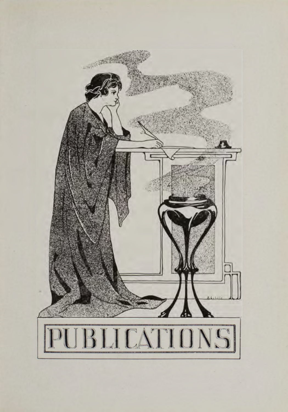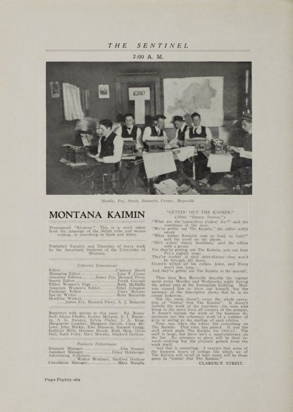## THE SENTINEL

#### 2:00 A. M.



Markle, Fry. Streit, Butzerin, Crowe, Reynolds

## **MONTANA KAIMIN**

Pronounced "Ki-meen." This is a word taken<br>from the language of the Selish tribe and means<br>writing, or something in black and white,

Published Tuesday and Thursday of every week<br>by the Associated Students of the University of Montana.

#### Editorial Departme

| Editor.                                      | Carence Streit                |
|----------------------------------------------|-------------------------------|
| Managing Editor.                             | John T. Crowe                 |
| Associate Editors James Fry, Howard Perry    |                               |
| Sports Editor.                               | Frank Gosman                  |
| Editor Women's Page                          | Ruth McHaffie                 |
| Associate Women's Editor.<br>Exchange Editor | Ethel Johnston                |
| Special Writer                               | Clare McLure<br>Roxe Reynolds |
| Headline Writers.                            |                               |
| James Fry, Howard Perry, A. L. Butzerin      |                               |

Reporters with staries in this issue: Ed. Rosen-borf, Green Chaffen, Evelyn McLead, A. J. Burzer-Hann, Margarette Coucher, Alexander, Margarette Gooden, Margarette Gooden, Margarette Green, Margarette Green, Margarette, E

#### **Business Department**

| Business Manager<br>Assistant Manager                                               | Lloyd Holzberger | Alex Swaney |
|-------------------------------------------------------------------------------------|------------------|-------------|
| Advertising Solicitors<br>Walter Waghner, Stafford Dolliver<br>Circulation Manager. |                  | Mary Murphy |

#### "GETTIN' OUT THE KAIMIN." (After "Damy Deever.")

"What are the typewriters elickin" for?" said the watchman at the door...<br>"We're gettin" out The Kaimln," the editor softly

"We're gettin one that we had, so loud?"<br>"What makes Butzerin cuss so loud, so loud?"<br>"He's writtel 'turny beadlines," said the editor<br>with a groun.

For they're getting out The Kaimin, you can hear<br>They're rightly song;<br>They're workin' in their shirt-sleeves—they won't<br>be through till dawn;<br>Crowe's willed all his collars down, and Perry<br>And they're gettin' out The Kaim

Thus does Rox Reynolds describe the regular scene civery Monday and Wedness<br>kay night doring the boundary and the school year at the Journalism building. Made exty caused him to leave out bimself, but the result<br>accuracy

accuracy of the description slows, that he is more contained and the strain indication. Since the space in the strain include the work of the relation include the strain include the work of the reporters—the constraints o

CLARENCE STREIT.

Page Eighty-six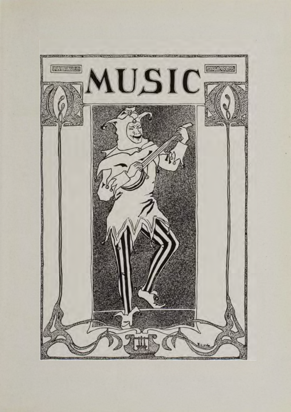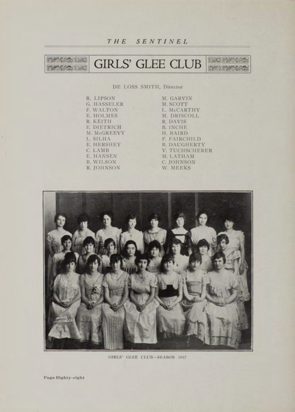*THE SENTINEL*

**LEATHER DESCRIPTION GROSS ASSISTANT** GIRLS' GLEE CLUB **MERCHAND Group Les Millettes** 

DE LOSS SMITH, Director

R. LIPSON G. HASSELER **F. WALTON** E. HOLMES R. KEITH E. DIETRICH M. McGREEVY L. SILHA E. HERSHEY C. LAMB E. HANSEN B. WILSON R. JOHNSON

M. GARVIN M. SCOTT L. McCARTHY M. DRISCOLL R. DAV IS B. INCHE H. BAIRD F. FAIRCHILD B. DAUGHERTY V. TUCHSCHERER M. LATHAM C. JOHNSON<br>W. MEEKS



GIRLS' GLEE CLUB-SEASON 1917

Page Eighty-eight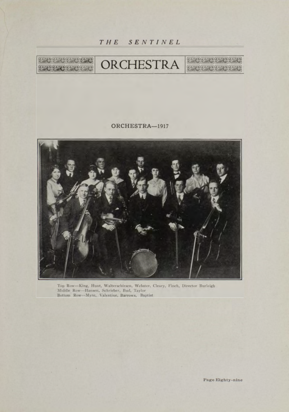



## ORCHESTRA-1917



Top Row--King, Hunt, Walterschirsen, Webster, Cleary, Finch, Director Burleigh<br> Middle Row--Hansen, Schrieber, Bud, Taylor<br> Bottom Row--Myre, Valentine, Barrows, Baptist

Page Eighty-nine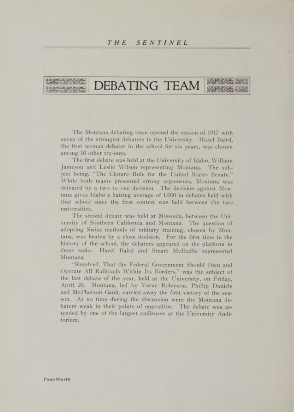### *THE SENTI NEL*



# DEBATING TEAM

The Montana debating team opened the season of 1917 with seven of the strongest debaters in the University. Hazel Baird, the first woman debater in the school for six years, was chosen among 10 other try-outs.

The first debate was held at the University of Idaho, William Jameson and Leslie Wilson representing Montana. The subject being, "The Cloture Rule for the United States Senate." While both teams presented strong arguments, Montana was defeated by a two to one decision. The decision against Montana gives Idaho a batting average of 1,000 in debates held with that school since the first contest was held between the two universities.

The second debate was held at Missoula, between the University of Southern California and Montana. The question of adopting Swiss methods of military training, chosen by Montana, was beaten by a close decision. For the first time in the history of the school, the debaters appeared on the platform in dress suits. Hazel Baird and Stuart McHaffie represented Montana.

"Resolved, That the Federal Government Should Own and Operate All Railroads Within Its Borders," was the subject of the last debate of the year, held at the University, on Friday, April 20. Montana, led by Verne Robinson, Phillip Daniels and McPherson Gault, carried away the first victory of the season. At no time during the discussion were the Montana debaters weak in their points of opposition. The debate was attended by one of the largest audiences at the University Auditorium .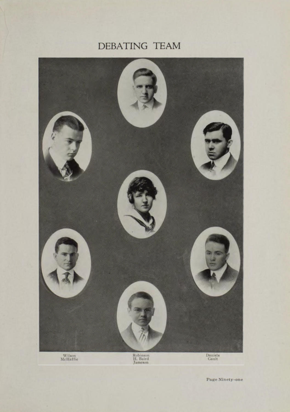# DEBATING TEAM



Page Ninety-one